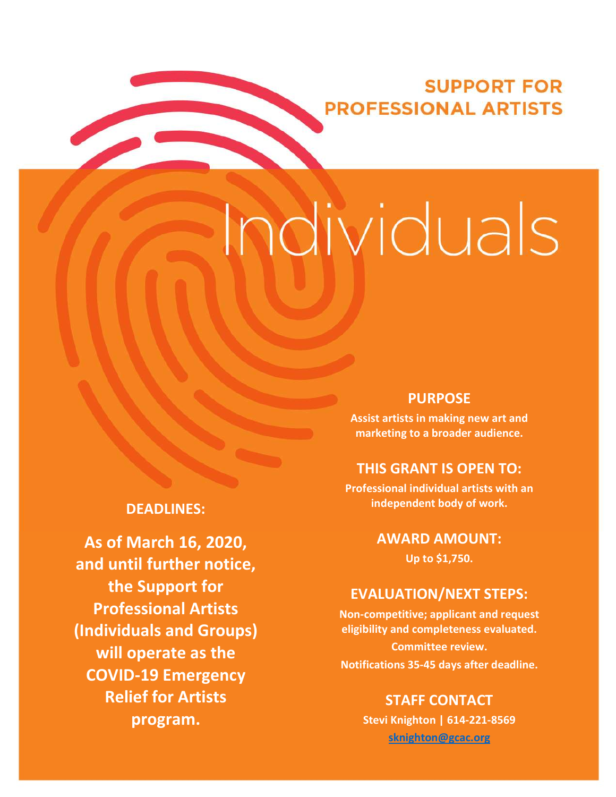# **SUPPORT FOR PROFESSIONAL ARTISTS**

# Individuals

# DEADLINES:

As of March 16, 2020, and until further notice, the Support for Professional Artists (Individuals and Groups) will operate as the COVID-19 Emergency Relief for Artists program.

#### **PURPOSE** PURPOSE

Provide a stable source of financial support Assist artists in making new art and marketing to a broader audience.

# THIS GRANT IS OPEN TO:

independent body of work. Professional individual artists with an

organizations; first-time applicants must be applicant of the set of the  $\sim$ approved before starting application  $\mathsf{Up}$  to  $\mathsf{S1},750.$ 

#### ALUATION ALAT JIT EVALUATION/NEXT STEPS:

Calculated based of the state of the state of the state of the state of the state of the state of the state of adjusted audited revenue and scores and scores and scores and scores and scores and scores and scores and score Notifications 35-45 days after deadline.<br>. Non-competitive; applicant and request eligibility and completeness evaluated. Committee review.

# **STAFF CONTACT**

To access the GoArts online application system, visit: gcac.smartsimple.com STAFF CONTACT sknighton@gcac.org  $\frac{1}{p}$   $\frac{1}{p}$   $\frac{1}{p}$   $\frac{1}{p}$   $\frac{1}{p}$   $\frac{1}{p}$   $\frac{1}{p}$   $\frac{1}{p}$   $\frac{1}{p}$   $\frac{1}{p}$   $\frac{1}{p}$   $\frac{1}{p}$   $\frac{1}{p}$   $\frac{1}{p}$   $\frac{1}{p}$   $\frac{1}{p}$   $\frac{1}{p}$   $\frac{1}{p}$   $\frac{1}{p}$   $\frac{1}{p}$   $\frac{1}{p}$   $\frac{1}{p}$  Stevi Knighton | 614-221-8569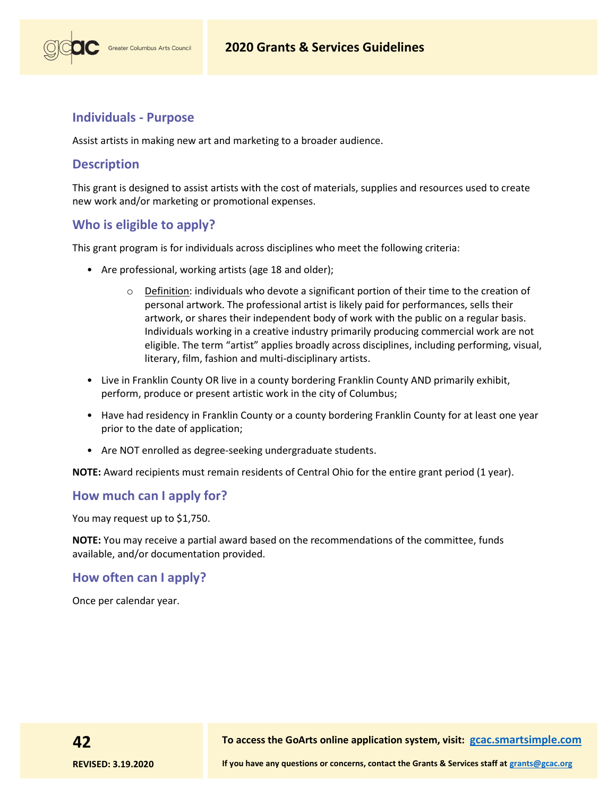# Individuals - Purpose

Greater Columbus Arts Council

Assist artists in making new art and marketing to a broader audience.

### **Description**

This grant is designed to assist artists with the cost of materials, supplies and resources used to create new work and/or marketing or promotional expenses.

# Who is eligible to apply?

This grant program is for individuals across disciplines who meet the following criteria:

- Are professional, working artists (age 18 and older);
	- $\circ$  Definition: individuals who devote a significant portion of their time to the creation of personal artwork. The professional artist is likely paid for performances, sells their artwork, or shares their independent body of work with the public on a regular basis. Individuals working in a creative industry primarily producing commercial work are not eligible. The term "artist" applies broadly across disciplines, including performing, visual, literary, film, fashion and multi-disciplinary artists.
- Live in Franklin County OR live in a county bordering Franklin County AND primarily exhibit, perform, produce or present artistic work in the city of Columbus;
- Have had residency in Franklin County or a county bordering Franklin County for at least one year prior to the date of application;
- Are NOT enrolled as degree-seeking undergraduate students.

NOTE: Award recipients must remain residents of Central Ohio for the entire grant period (1 year).

#### How much can I apply for?

You may request up to \$1,750.

NOTE: You may receive a partial award based on the recommendations of the committee, funds available, and/or documentation provided.

#### How often can I apply?

Once per calendar year.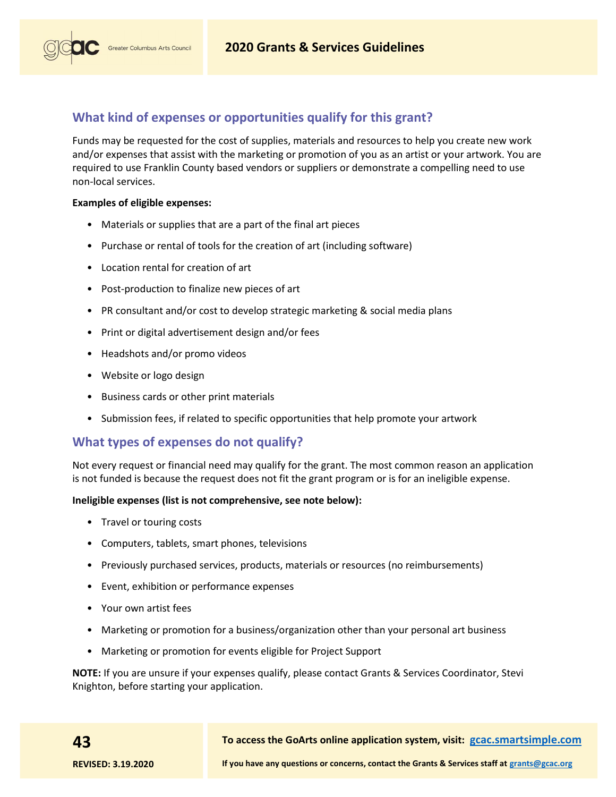

# What kind of expenses or opportunities qualify for this grant?

Funds may be requested for the cost of supplies, materials and resources to help you create new work and/or expenses that assist with the marketing or promotion of you as an artist or your artwork. You are required to use Franklin County based vendors or suppliers or demonstrate a compelling need to use non-local services.

#### Examples of eligible expenses:

- Materials or supplies that are a part of the final art pieces
- Purchase or rental of tools for the creation of art (including software)
- Location rental for creation of art
- Post-production to finalize new pieces of art
- PR consultant and/or cost to develop strategic marketing & social media plans
- Print or digital advertisement design and/or fees
- Headshots and/or promo videos
- Website or logo design
- Business cards or other print materials
- Submission fees, if related to specific opportunities that help promote your artwork

# What types of expenses do not qualify?

Not every request or financial need may qualify for the grant. The most common reason an application is not funded is because the request does not fit the grant program or is for an ineligible expense.

#### Ineligible expenses (list is not comprehensive, see note below):

- Travel or touring costs
- Computers, tablets, smart phones, televisions
- Previously purchased services, products, materials or resources (no reimbursements)
- Event, exhibition or performance expenses
- Your own artist fees
- Marketing or promotion for a business/organization other than your personal art business
- Marketing or promotion for events eligible for Project Support

NOTE: If you are unsure if your expenses qualify, please contact Grants & Services Coordinator, Stevi Knighton, before starting your application.

43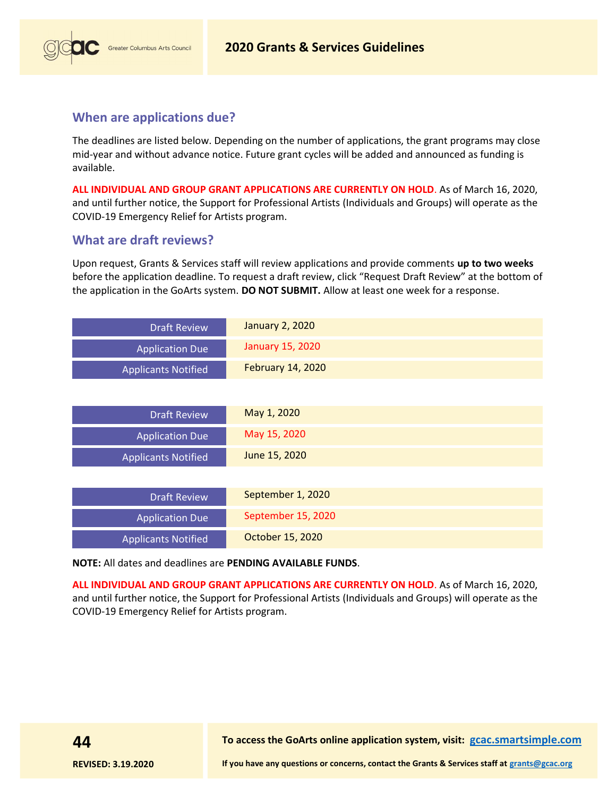

# When are applications due?

The deadlines are listed below. Depending on the number of applications, the grant programs may close mid-year and without advance notice. Future grant cycles will be added and announced as funding is available.

ALL INDIVIDUAL AND GROUP GRANT APPLICATIONS ARE CURRENTLY ON HOLD. As of March 16, 2020, and until further notice, the Support for Professional Artists (Individuals and Groups) will operate as the COVID-19 Emergency Relief for Artists program.

# What are draft reviews?

Upon request, Grants & Services staff will review applications and provide comments up to two weeks before the application deadline. To request a draft review, click "Request Draft Review" at the bottom of the application in the GoArts system. DO NOT SUBMIT. Allow at least one week for a response.

| <b>Draft Review</b>        | <b>January 2, 2020</b>   |
|----------------------------|--------------------------|
| <b>Application Due</b>     | <b>January 15, 2020</b>  |
| <b>Applicants Notified</b> | <b>February 14, 2020</b> |
|                            |                          |
| <b>Draft Review</b>        | May 1, 2020              |
| <b>Application Due</b>     | May 15, 2020             |
| <b>Applicants Notified</b> | June 15, 2020            |
|                            |                          |
| <b>Draft Review</b>        | September 1, 2020        |
| <b>Application Due</b>     | September 15, 2020       |
| <b>Applicants Notified</b> | October 15, 2020         |

NOTE: All dates and deadlines are PENDING AVAILABLE FUNDS.

ALL INDIVIDUAL AND GROUP GRANT APPLICATIONS ARE CURRENTLY ON HOLD. As of March 16, 2020, and until further notice, the Support for Professional Artists (Individuals and Groups) will operate as the COVID-19 Emergency Relief for Artists program.

To access the GoArts online application system, visit: gcac.smartsimple.com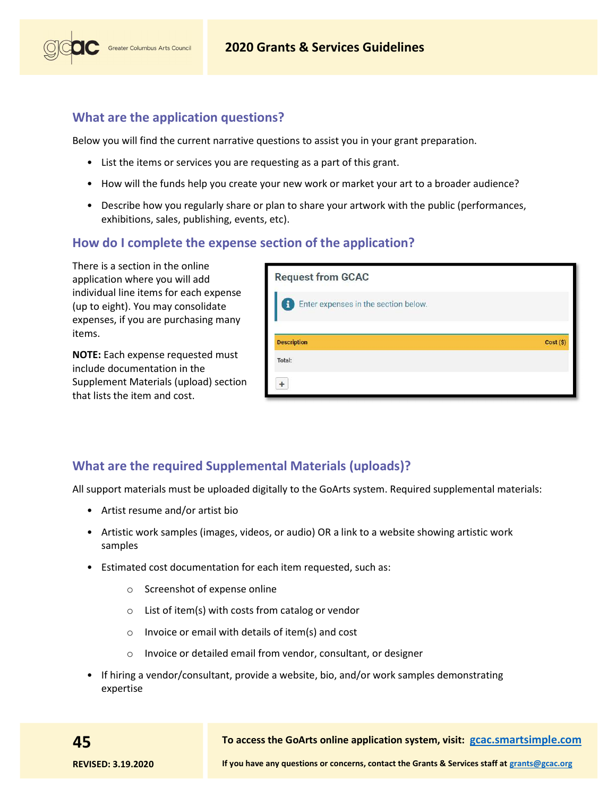

# What are the application questions?

Below you will find the current narrative questions to assist you in your grant preparation.

- List the items or services you are requesting as a part of this grant.
- How will the funds help you create your new work or market your art to a broader audience?
- Describe how you regularly share or plan to share your artwork with the public (performances, exhibitions, sales, publishing, events, etc).

# How do I complete the expense section of the application?

There is a section in the online application where you will add individual line items for each expense (up to eight). You may consolidate expenses, if you are purchasing many items.

NOTE: Each expense requested must include documentation in the Supplement Materials (upload) section that lists the item and cost.

| <b>Request from GCAC</b>                  |           |
|-------------------------------------------|-----------|
| Enter expenses in the section below.<br>1 |           |
| <b>Description</b><br>Total:              | Cost (\$) |
|                                           |           |

# What are the required Supplemental Materials (uploads)?

All support materials must be uploaded digitally to the GoArts system. Required supplemental materials:

- Artist resume and/or artist bio
- Artistic work samples (images, videos, or audio) OR a link to a website showing artistic work samples
- Estimated cost documentation for each item requested, such as:
	- o Screenshot of expense online
	- $\circ$  List of item(s) with costs from catalog or vendor
	- o Invoice or email with details of item(s) and cost
	- o Invoice or detailed email from vendor, consultant, or designer
- If hiring a vendor/consultant, provide a website, bio, and/or work samples demonstrating expertise